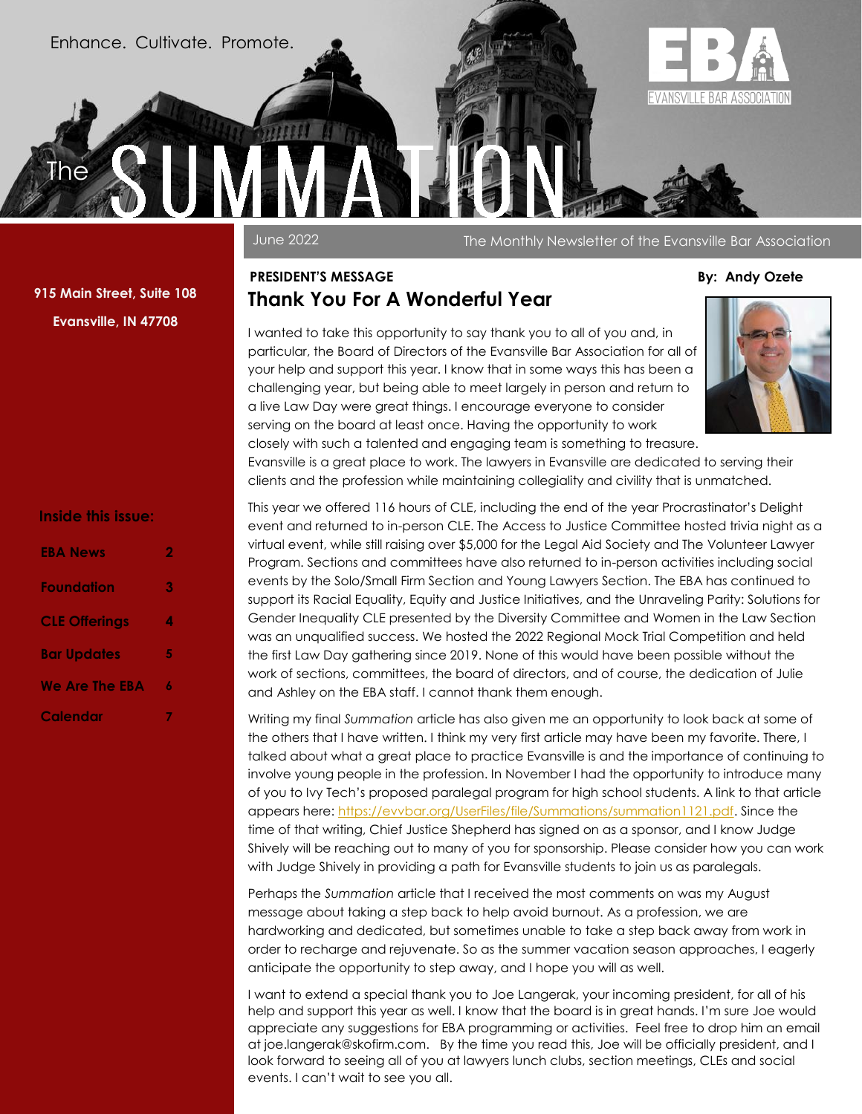Enhance. Cultivate. Promote.

**Summation** 



June 2022 The Monthly Newsletter of the Evansville Bar Association

**915 Main Street, Suite 108 Evansville, IN 47708**

The

#### **Inside this issue:**

| <b>EBA News</b>       | 2 |
|-----------------------|---|
| Foundation            | 3 |
| <b>CLE Offerings</b>  | 4 |
| <b>Bar Updates</b>    | 5 |
| <b>We Are The EBA</b> | 6 |
| Calendar              |   |

#### **PRESIDENT'S MESSAGE By: Andy Ozete Thank You For A Wonderful Year**

I wanted to take this opportunity to say thank you to all of you and, in particular, the Board of Directors of the Evansville Bar Association for all of your help and support this year. I know that in some ways this has been a challenging year, but being able to meet largely in person and return to a live Law Day were great things. I encourage everyone to consider serving on the board at least once. Having the opportunity to work closely with such a talented and engaging team is something to treasure.



Evansville is a great place to work. The lawyers in Evansville are dedicated to serving their clients and the profession while maintaining collegiality and civility that is unmatched.

This year we offered 116 hours of CLE, including the end of the year Procrastinator's Delight event and returned to in-person CLE. The Access to Justice Committee hosted trivia night as a virtual event, while still raising over \$5,000 for the Legal Aid Society and The Volunteer Lawyer Program. Sections and committees have also returned to in-person activities including social events by the Solo/Small Firm Section and Young Lawyers Section. The EBA has continued to support its Racial Equality, Equity and Justice Initiatives, and the Unraveling Parity: Solutions for Gender Inequality CLE presented by the Diversity Committee and Women in the Law Section was an unqualified success. We hosted the 2022 Regional Mock Trial Competition and held the first Law Day gathering since 2019. None of this would have been possible without the work of sections, committees, the board of directors, and of course, the dedication of Julie and Ashley on the EBA staff. I cannot thank them enough.

Writing my final *Summation* article has also given me an opportunity to look back at some of the others that I have written. I think my very first article may have been my favorite. There, I talked about what a great place to practice Evansville is and the importance of continuing to involve young people in the profession. In November I had the opportunity to introduce many of you to Ivy Tech's proposed paralegal program for high school students. A link to that article appears here: [https://evvbar.org/UserFiles/file/Summations/summation1121.pdf.](https://evvbar.org/UserFiles/file/Summations/summation1121.pdf) Since the time of that writing, Chief Justice Shepherd has signed on as a sponsor, and I know Judge Shively will be reaching out to many of you for sponsorship. Please consider how you can work with Judge Shively in providing a path for Evansville students to join us as paralegals.

Perhaps the *Summation* article that I received the most comments on was my August message about taking a step back to help avoid burnout. As a profession, we are hardworking and dedicated, but sometimes unable to take a step back away from work in order to recharge and rejuvenate. So as the summer vacation season approaches, I eagerly anticipate the opportunity to step away, and I hope you will as well.

I want to extend a special thank you to Joe Langerak, your incoming president, for all of his help and support this year as well. I know that the board is in great hands. I'm sure Joe would appreciate any suggestions for EBA programming or activities. Feel free to drop him an email at joe.langerak@skofirm.com. By the time you read this, Joe will be officially president, and I look forward to seeing all of you at lawyers lunch clubs, section meetings, CLEs and social events. I can't wait to see you all.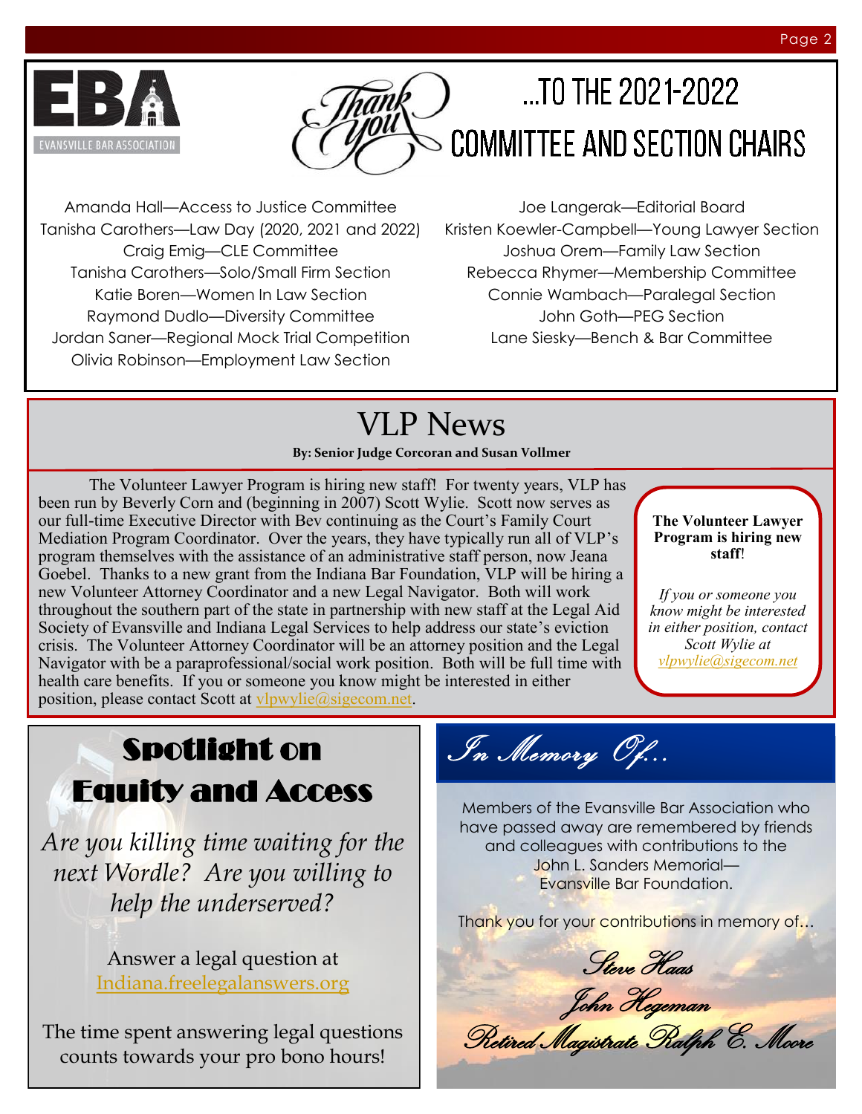

# $...$ TO THE 2021-2022 **COMMITTEE AND SECTION CHAIRS**

Amanda Hall—Access to Justice Committee Tanisha Carothers—Law Day (2020, 2021 and 2022) Craig Emig—CLE Committee Tanisha Carothers—Solo/Small Firm Section Katie Boren—Women In Law Section Raymond Dudlo—Diversity Committee Jordan Saner—Regional Mock Trial Competition Olivia Robinson—Employment Law Section

Joe Langerak—Editorial Board Kristen Koewler-Campbell—Young Lawyer Section Joshua Orem—Family Law Section Rebecca Rhymer—Membership Committee Connie Wambach—Paralegal Section John Goth—PEG Section Lane Siesky—Bench & Bar Committee

## VLP News

**By: Senior Judge Corcoran and Susan Vollmer**

The Volunteer Lawyer Program is hiring new staff! For twenty years, VLP has been run by Beverly Corn and (beginning in 2007) Scott Wylie. Scott now serves as our full-time Executive Director with Bev continuing as the Court's Family Court Mediation Program Coordinator. Over the years, they have typically run all of VLP's program themselves with the assistance of an administrative staff person, now Jeana Goebel. Thanks to a new grant from the Indiana Bar Foundation, VLP will be hiring a new Volunteer Attorney Coordinator and a new Legal Navigator. Both will work throughout the southern part of the state in partnership with new staff at the Legal Aid Society of Evansville and Indiana Legal Services to help address our state's eviction crisis. The Volunteer Attorney Coordinator will be an attorney position and the Legal Navigator with be a paraprofessional/social work position. Both will be full time with health care benefits. If you or someone you know might be interested in either position, please contact Scott at [vlpwylie@sigecom.net.](mailto:vlpwylie@sigecom.net)

**The Volunteer Lawyer Program is hiring new staff**!

*If you or someone you know might be interested in either position, contact Scott Wylie at [vlpwylie@sigecom.net](mailto:vlpwylie@sigecom.net)*

## Spotlight on Equity and Access

*Are you killing time waiting for the next Wordle? Are you willing to help the underserved?*

> Answer a legal question at [Indiana.freelegalanswers.org](https://urldefense.proofpoint.com/v2/url?u=https-3A__nam10.safelinks.protection.outlook.com_-3Furl-3Dhttps-253A-252F-252Furldefense.proofpoint.com-252Fv2-252Furl-253Fu-253Dhttps-2D3A-5F-5Fnam10.safelinks.protection.outlook.com-5F-2D3Furl-2D3Dhttp-2D253A-2D252)

The time spent answering legal questions counts towards your pro bono hours!

In Memory Of...

Members of the Evansville Bar Association who have passed away are remembered by friends and colleagues with contributions to the John L. Sanders Memorial— Evansville Bar Foundation.

Thank you for your contributions in memory of...

Steve Haas

John Hegeman

Retired Magistrate Ralph E. Moore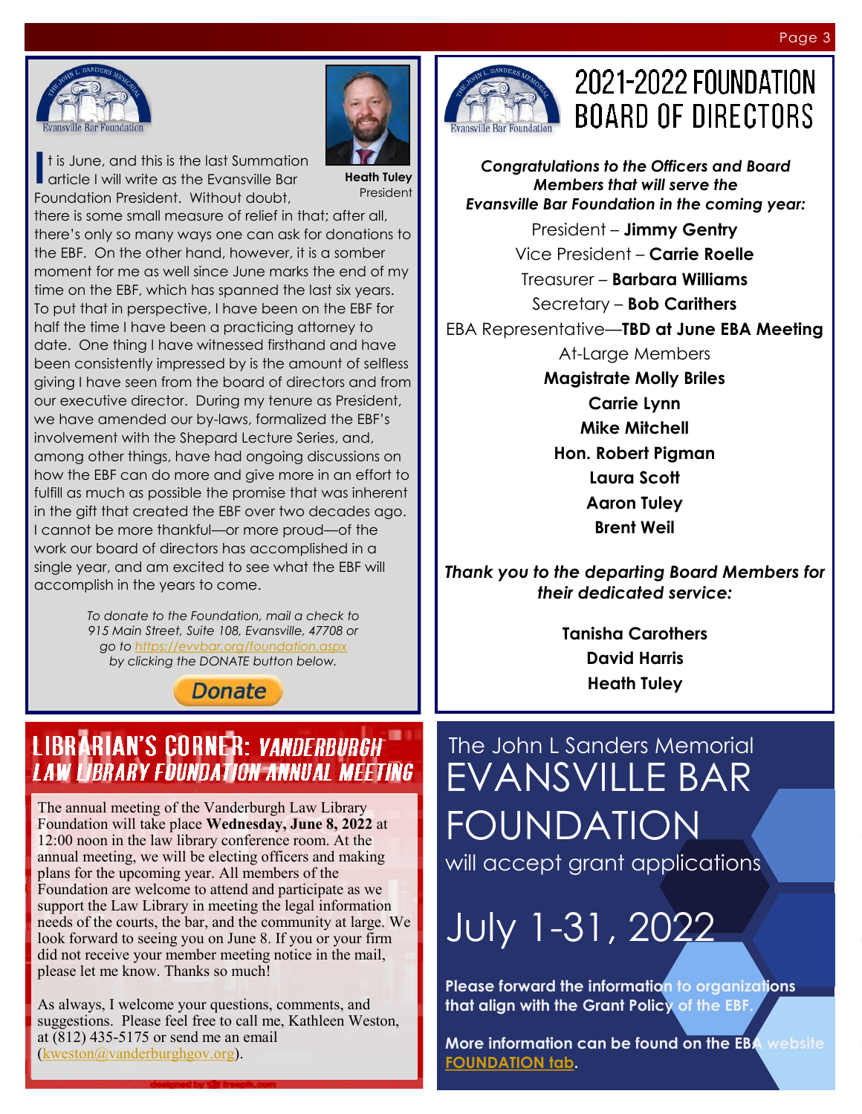



**I** t is June, and this is the last Summation<br>article I will write as the Evansville Bar article I will write as the Evansville Bar Foundation President. Without doubt,

**Heath Tuley** President

there is some small measure of relief in that; after all, there's only so many ways one can ask for donations to the EBF. On the other hand, however, it is a somber moment for me as well since June marks the end of my time on the EBF, which has spanned the last six years. To put that in perspective, I have been on the EBF for half the time I have been a practicing attorney to date. One thing I have witnessed firsthand and have been consistently impressed by is the amount of selfless giving I have seen from the board of directors and from our executive director. During my tenure as President, we have amended our by-laws, formalized the EBF's involvement with the Shepard Lecture Series, and, among other things, have had ongoing discussions on how the EBF can do more and give more in an effort to fulfill as much as possible the promise that was inherent in the gift that created the EBF over two decades ago. I cannot be more thankful—or more proud—of the work our board of directors has accomplished in a single year, and am excited to see what the EBF will accomplish in the years to come.

> *To donate to the Foundation, mail a check to 915 Main Street, Suite 108, Evansville, 47708 or go to<https://evvbar.org/foundation.aspx> by clicking the DONATE button below.*

> > **Donate**

### **LIBRARIAN'S CORNER: VANDERBURGH LAW LIBRARY FOUNDATION ANNUAL MEETING**

The annual meeting of the Vanderburgh Law Library Foundation will take place **Wednesday, June 8, 2022** at 12:00 noon in the law library conference room. At the annual meeting, we will be electing officers and making plans for the upcoming year. All members of the Foundation are welcome to attend and participate as we support the Law Library in meeting the legal information needs of the courts, the bar, and the community at large. We look forward to seeing you on June 8. If you or your firm did not receive your member meeting notice in the mail, please let me know. Thanks so much!

As always, I welcome your questions, comments, and suggestions. Please feel free to call me, Kathleen Weston, at (812) 435-5175 or send me an email [\(kweston@vanderburghgov.org\)](mailto:kweston@vanderburghgov.org).



## **2021-2022 FOUNDATION BOARD OF DIRECTORS**

President – **Jimmy Gentry** Vice President – **Carrie Roelle** Treasurer – **Barbara Williams** Secretary – **Bob Carithers** EBA Representative—**TBD at June EBA Meeting** At-Large Members **Magistrate Molly Briles Carrie Lynn Mike Mitchell Hon. Robert Pigman Laura Scott Aaron Tuley Brent Weil** *Congratulations to the Officers and Board Members that will serve the Evansville Bar Foundation in the coming year:*

*Thank you to the departing Board Members for their dedicated service:*

> **Tanisha Carothers David Harris Heath Tuley**

The John L Sanders Memorial EVANSVILLE BAR FOUNDATION will accept grant applications

July 1-31, 2022

**Please forward the information to organizations that align with the Grant Policy of the EBF.**

**More information can be found on the EBA website [FOUNDATION tab.](https://evvbar.org/foundation.aspx)**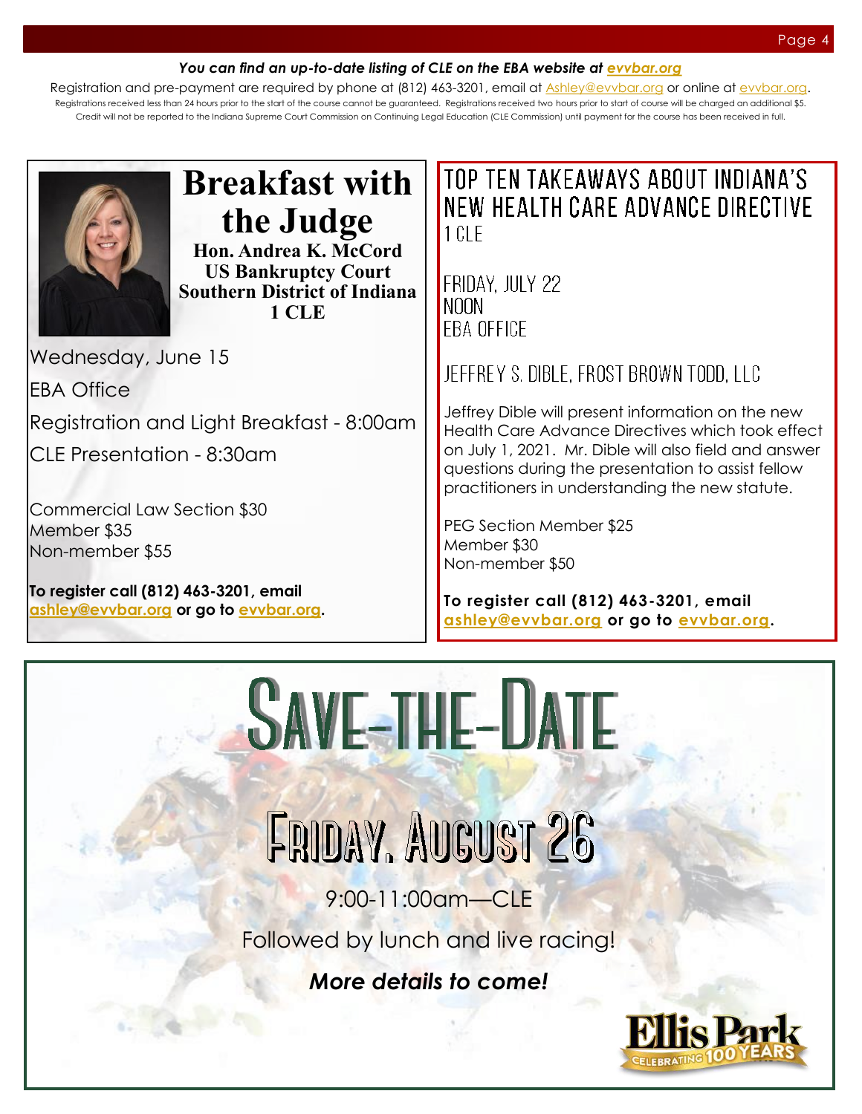#### *You can find an up-to-date listing of CLE on the EBA website at [evvbar.org](https://evvbar.org/continuing-legal-education/upcoming-cle.aspx)*

Registration and pre-payment are required by phone at (812) 463-3201, email at [Ashley@evvbar.org](mailto:ashley@evvbar.org) or online at [evvbar.org.](https://evvbar.org/calendar) Registrations received less than 24 hours prior to the start of the course cannot be guaranteed. Registrations received two hours prior to start of course will be charged an additional \$5. Credit will not be reported to the Indiana Supreme Court Commission on Continuing Legal Education (CLE Commission) until payment for the course has been received in full.



### **Breakfast with the Judge Hon. Andrea K. McCord US Bankruptcy Court**

**Southern District of Indiana 1 CLE**

Wednesday, June 15

EBA Office

Registration and Light Breakfast - 8:00am

CLE Presentation - 8:30am

Commercial Law Section \$30 Member \$35 Non-member \$55

**To register call (812) 463-3201, email [ashley@evvbar.org](mailto:ashley@evvbar.org) or go to [evvbar.org.](https://evvbar.org/calendar/register/?eventno=10036)**

### TOP TEN TAKEAWAYS ABOUT INDIANA'S NEW HEALTH CARE ADVANCE DIRECTIVE  $1$  CI F

#### FRIDAY. JULY 22 NOON. FRA OFFICE

JEFFREY S. DIBLE. FROST BROWN TODD. LLC

Jeffrey Dible will present information on the new Health Care Advance Directives which took effect on July 1, 2021. Mr. Dible will also field and answer questions during the presentation to assist fellow practitioners in understanding the new statute.

PEG Section Member \$25 Member \$30 Non-member \$50

**To register call (812) 463-3201, email [ashley@](mailto:ashley@evvbar.org)[evvbar.org](mailto:eba@evvbar.org?subject=REGISTER:%20Lifecycle%20of%20an%20LLC) or go to [evvbar.org.](https://evvbar.org/calendar/register/?eventno=9985)**



FRIDAY, AUGUST 26

9:00-11:00am—CLE

Followed by lunch and live racing!

*More details to come!*

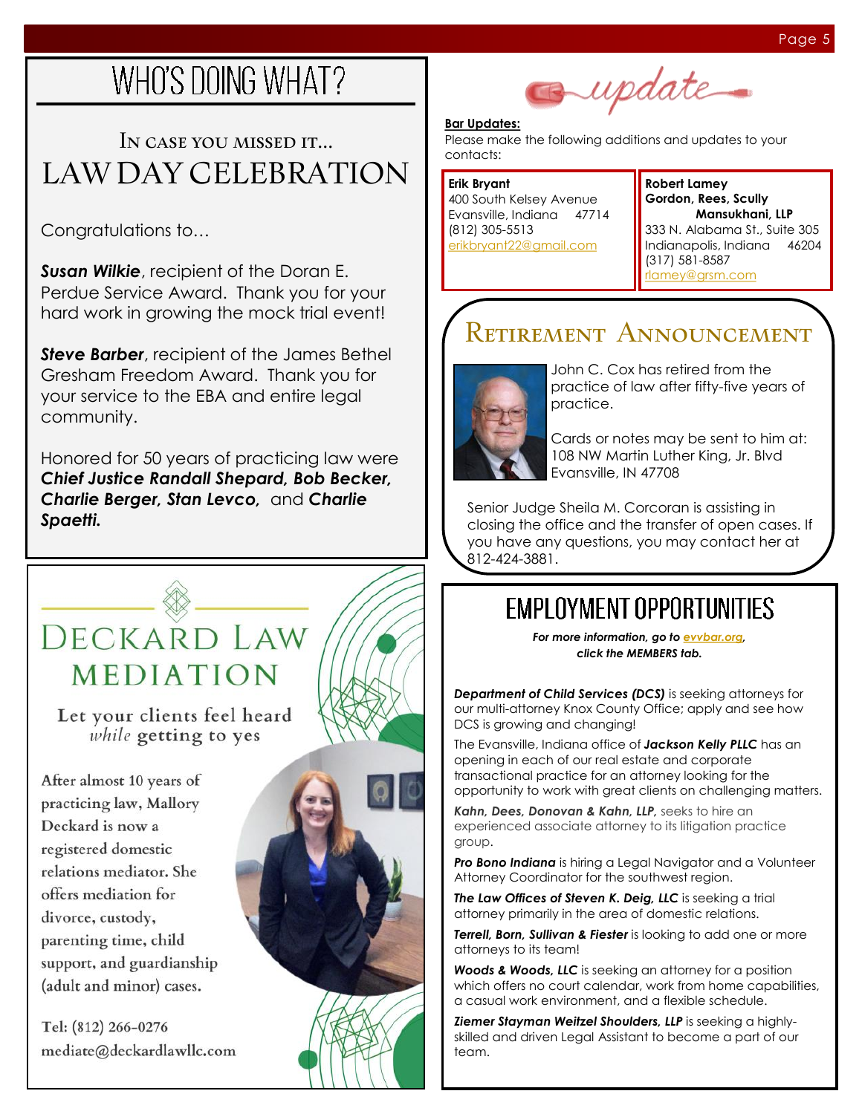# WHO'S DOING WHAT?

## In case you missed it... LAW DAY CELEBRATION

Congratulations to…

*Susan Wilkie*, recipient of the Doran E. Perdue Service Award. Thank you for your hard work in growing the mock trial event!

*Steve Barber*, recipient of the James Bethel Gresham Freedom Award. Thank you for your service to the EBA and entire legal community.

Honored for 50 years of practicing law were *Chief Justice Randall Shepard, Bob Becker, Charlie Berger, Stan Levco,* and *Charlie Spaetti.*

## DECKARD LAW MEDIATION

Let your clients feel heard while getting to yes

After almost 10 years of practicing law, Mallory Deckard is now a registered domestic relations mediator. She offers mediation for divorce, custody, parenting time, child support, and guardianship (adult and minor) cases.

Tel: (812) 266-0276 mediate@deckardlawllc.com





**Robert Lamey Gordon, Rees, Scully Mansukhani, LLP** 333 N. Alabama St., Suite 305 Indianapolis, Indiana 46204 (317) 581-8587 [rlamey@grsm.com](mailto:rlamey@grsm.com)

## Retirement Announcement

update.



**Bar Updates:**

(812) 305-5513

[erikbryant22@gmail.com](mailto:erikbryant22@gmail.com)

John C. Cox has retired from the practice of law after fifty-five years of practice.

Cards or notes may be sent to him at: 108 NW Martin Luther King, Jr. Blvd Evansville, IN 47708

Senior Judge Sheila M. Corcoran is assisting in closing the office and the transfer of open cases. If you have any questions, you may contact her at 812-424-3881.

## **EMPLOYMENT OPPORTUNITIES**

*For more information, go to [evvbar.org,](https://evvbar.org/members/employment-opportunities.aspx) click the MEMBERS tab.*

**Department of Child Services (DCS)** is seeking attorneys for our multi-attorney Knox County Office; apply and see how DCS is growing and changing!

The Evansville, Indiana office of *Jackson Kelly PLLC* has an opening in each of our real estate and corporate transactional practice for an attorney looking for the opportunity to work with great clients on challenging matters.

*Kahn, Dees, Donovan & Kahn, LLP,* seeks to hire an experienced associate attorney to its litigation practice group.

*Pro Bono Indiana* is hiring a Legal Navigator and a Volunteer Attorney Coordinator for the southwest region.

*The Law Offices of Steven K. Deig, LLC* is seeking a trial attorney primarily in the area of domestic relations.

*Terrell, Born, Sullivan & Fiester* is looking to add one or more attorneys to its team!

*Woods & Woods, LLC* is seeking an attorney for a position which offers no court calendar, work from home capabilities, a casual work environment, and a flexible schedule.

*Ziemer Stayman Weitzel Shoulders, LLP* is seeking a highlyskilled and driven Legal Assistant to become a part of our team.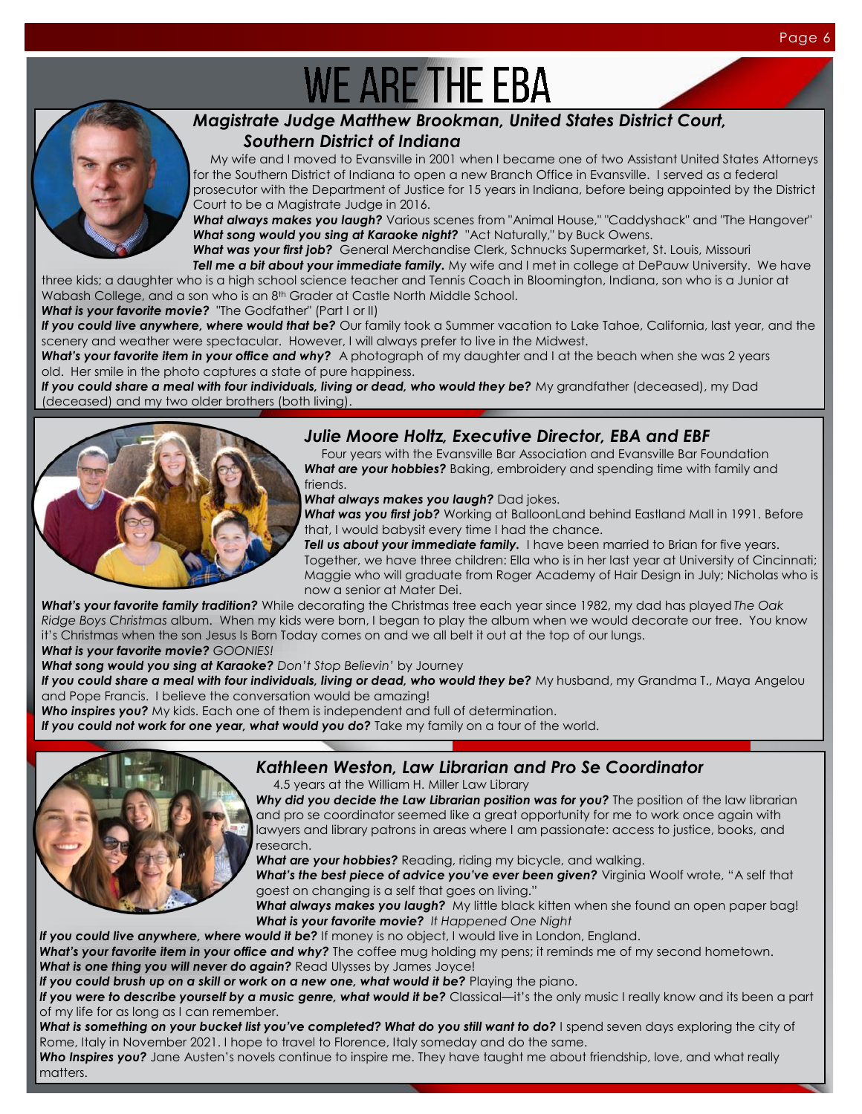# **WE ARE THE EBA**



#### *Magistrate Judge Matthew Brookman, United States District Court, Southern District of Indiana*

 My wife and I moved to Evansville in 2001 when I became one of two Assistant United States Attorneys for the Southern District of Indiana to open a new Branch Office in Evansville. I served as a federal prosecutor with the Department of Justice for 15 years in Indiana, before being appointed by the District Court to be a Magistrate Judge in 2016.

*What always makes you laugh?* Various scenes from "Animal House," "Caddyshack" and "The Hangover" *What song would you sing at Karaoke night?* "Act Naturally," by Buck Owens.

*What was your first job?* General Merchandise Clerk, Schnucks Supermarket, St. Louis, Missouri **Tell me a bit about your immediate family.** My wife and I met in college at DePauw University. We have

three kids; a daughter who is a high school science teacher and Tennis Coach in Bloomington, Indiana, son who is a Junior at Wabash College, and a son who is an 8<sup>th</sup> Grader at Castle North Middle School.

*What is your favorite movie?* "The Godfather" (Part I or II)

If you could live anywhere, where would that be? Our family took a Summer vacation to Lake Tahoe, California, last year, and the scenery and weather were spectacular. However, I will always prefer to live in the Midwest.

*What's your favorite item in your office and why?* A photograph of my daughter and I at the beach when she was 2 years old. Her smile in the photo captures a state of pure happiness.

If you could share a meal with four individuals, living or dead, who would they be? My grandfather (deceased), my Dad (deceased) and my two older brothers (both living).



#### *Julie Moore Holtz, Executive Director, EBA and EBF*

 Four years with the Evansville Bar Association and Evansville Bar Foundation *What are your hobbies?* Baking, embroidery and spending time with family and friends.

*What always makes you laugh?* Dad jokes.

*What was you first job?* Working at BalloonLand behind Eastland Mall in 1991. Before that, I would babysit every time I had the chance.

**Tell us about your immediate family.** I have been married to Brian for five years. Together, we have three children: Ella who is in her last year at University of Cincinnati; Maggie who will graduate from Roger Academy of Hair Design in July; Nicholas who is now a senior at Mater Dei.

*What's your favorite family tradition?* While decorating the Christmas tree each year since 1982, my dad has played *The Oak Ridge Boys Christmas* album. When my kids were born, I began to play the album when we would decorate our tree. You know it's Christmas when the son Jesus Is Born Today comes on and we all belt it out at the top of our lungs. *What is your favorite movie? GOONIES!*

*What song would you sing at Karaoke? Don't Stop Believin'* by Journey

If you could share a meal with four individuals, living or dead, who would they be? My husband, my Grandma T., Maya Angelou and Pope Francis. I believe the conversation would be amazing!

*Who inspires you?* My kids. Each one of them is independent and full of determination.

If you could not work for one year, what would you do? Take my family on a tour of the world.



### *Kathleen Weston, Law Librarian and Pro Se Coordinator*

4.5 years at the William H. Miller Law Library

Why did you decide the Law Librarian position was for you? The position of the law librarian and pro se coordinator seemed like a great opportunity for me to work once again with lawyers and library patrons in areas where I am passionate: access to justice, books, and research.

*What are your hobbies?* Reading, riding my bicycle, and walking.

What's the best piece of advice you've ever been given? Virginia Woolf wrote, "A self that goest on changing is a self that goes on living."

*What always makes you laugh?* My little black kitten when she found an open paper bag! *What is your favorite movie? It Happened One Night*

If you could live anywhere, where would it be? If money is no object, I would live in London, England.

*What's your favorite item in your office and why?* The coffee mug holding my pens; it reminds me of my second hometown. *What is one thing you will never do again?* Read Ulysses by James Joyce!

If you could brush up on a skill or work on a new one, what would it be? Playing the piano.

If you were to describe yourself by a music genre, what would it be? Classical—it's the only music I really know and its been a part of my life for as long as I can remember.

What is something on your bucket list you've completed? What do you still want to do? I spend seven days exploring the city of Rome, Italy in November 2021. I hope to travel to Florence, Italy someday and do the same.

*Who Inspires you?* Jane Austen's novels continue to inspire me. They have taught me about friendship, love, and what really matters.